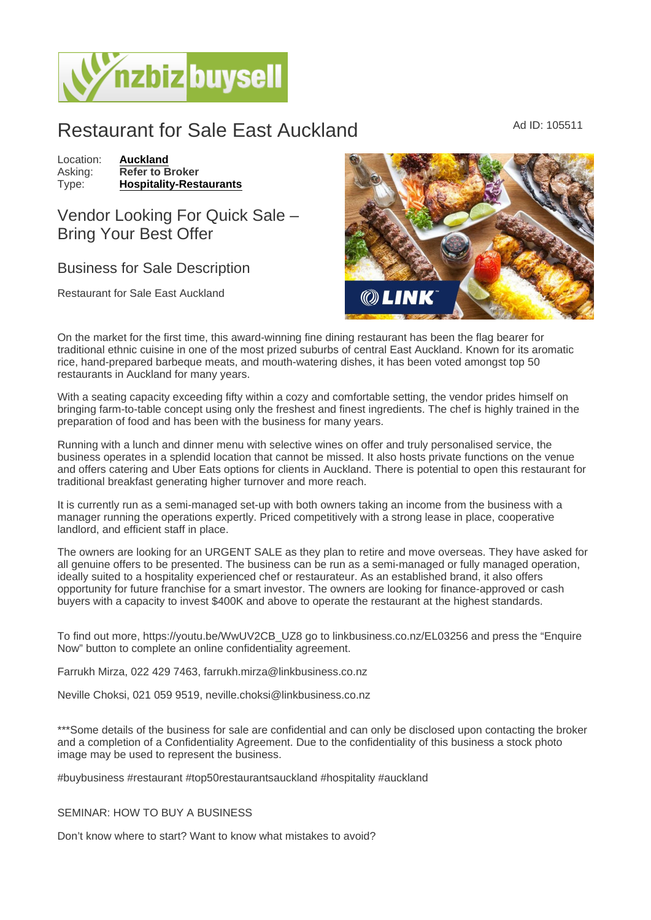## Restaurant for Sale East Auckland Ad ID: 105511

Location: [Auckland](https://www.nzbizbuysell.co.nz/businesses-for-sale/location/Auckland) Asking: Refer to Broker<br>Type: Hospitality-Rest [Hospitality-Restaurants](https://www.nzbizbuysell.co.nz/businesses-for-sale/Restaurants/New-Zealand)

Vendor Looking For Quick Sale – Bring Your Best Offer

## Business for Sale Description

Restaurant for Sale East Auckland

On the market for the first time, this award-winning fine dining restaurant has been the flag bearer for traditional ethnic cuisine in one of the most prized suburbs of central East Auckland. Known for its aromatic rice, hand-prepared barbeque meats, and mouth-watering dishes, it has been voted amongst top 50 restaurants in Auckland for many years.

With a seating capacity exceeding fifty within a cozy and comfortable setting, the vendor prides himself on bringing farm-to-table concept using only the freshest and finest ingredients. The chef is highly trained in the preparation of food and has been with the business for many years.

Running with a lunch and dinner menu with selective wines on offer and truly personalised service, the business operates in a splendid location that cannot be missed. It also hosts private functions on the venue and offers catering and Uber Eats options for clients in Auckland. There is potential to open this restaurant for traditional breakfast generating higher turnover and more reach.

It is currently run as a semi-managed set-up with both owners taking an income from the business with a manager running the operations expertly. Priced competitively with a strong lease in place, cooperative landlord, and efficient staff in place.

The owners are looking for an URGENT SALE as they plan to retire and move overseas. They have asked for all genuine offers to be presented. The business can be run as a semi-managed or fully managed operation, ideally suited to a hospitality experienced chef or restaurateur. As an established brand, it also offers opportunity for future franchise for a smart investor. The owners are looking for finance-approved or cash buyers with a capacity to invest \$400K and above to operate the restaurant at the highest standards.

To find out more, https://youtu.be/WwUV2CB\_UZ8 go to linkbusiness.co.nz/EL03256 and press the "Enquire Now" button to complete an online confidentiality agreement.

Farrukh Mirza, 022 429 7463, farrukh.mirza@linkbusiness.co.nz

Neville Choksi, 021 059 9519, neville.choksi@linkbusiness.co.nz

\*\*\*Some details of the business for sale are confidential and can only be disclosed upon contacting the broker and a completion of a Confidentiality Agreement. Due to the confidentiality of this business a stock photo image may be used to represent the business.

#buybusiness #restaurant #top50restaurantsauckland #hospitality #auckland

## SEMINAR: HOW TO BUY A BUSINESS

Don't know where to start? Want to know what mistakes to avoid?